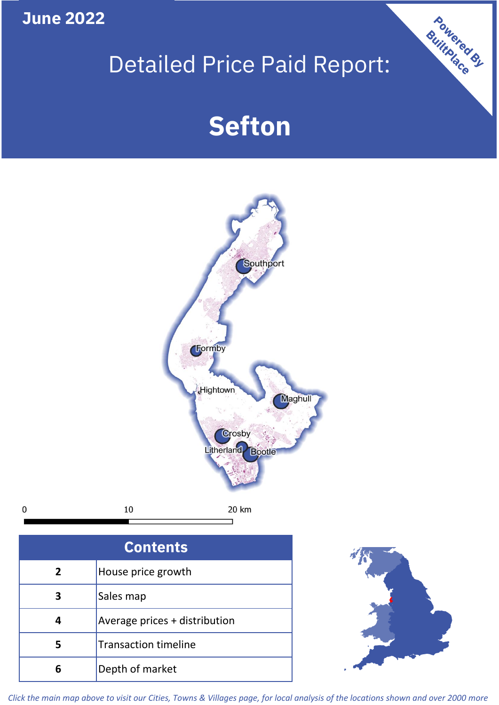**June 2022**

 $\mathbf 0$ 

## Detailed Price Paid Report:

# **Sefton**



**5** Transaction timeline **6** Depth of market



Powered By

*Click the main map above to visit our Cities, Towns & Villages page, for local analysis of the locations shown and over 2000 more*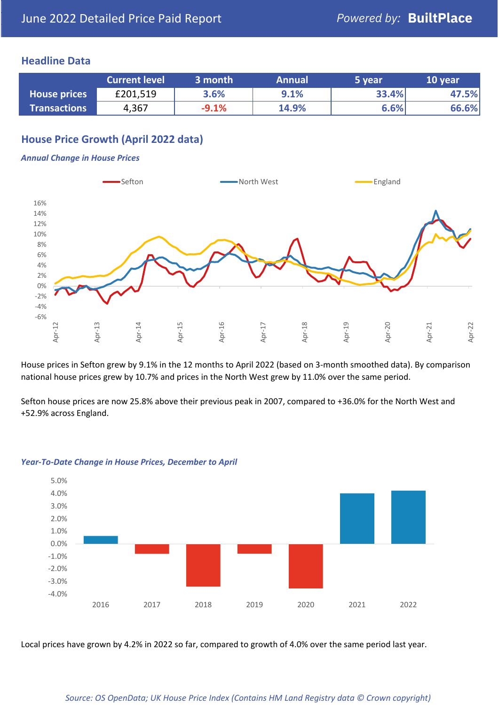## **Headline Data**

|                     | <b>Current level</b> | 3 month | <b>Annual</b> | 5 year | 10 year |
|---------------------|----------------------|---------|---------------|--------|---------|
| <b>House prices</b> | £201,519             | 3.6%    | 9.1%          | 33.4%  | 47.5%   |
| <b>Transactions</b> | 4,367                | $-9.1%$ | 14.9%         | 6.6%   | 66.6%   |

## **House Price Growth (April 2022 data)**

#### *Annual Change in House Prices*



House prices in Sefton grew by 9.1% in the 12 months to April 2022 (based on 3-month smoothed data). By comparison national house prices grew by 10.7% and prices in the North West grew by 11.0% over the same period.

Sefton house prices are now 25.8% above their previous peak in 2007, compared to +36.0% for the North West and +52.9% across England.



#### *Year-To-Date Change in House Prices, December to April*

Local prices have grown by 4.2% in 2022 so far, compared to growth of 4.0% over the same period last year.

#### *Source: OS OpenData; UK House Price Index (Contains HM Land Registry data © Crown copyright)*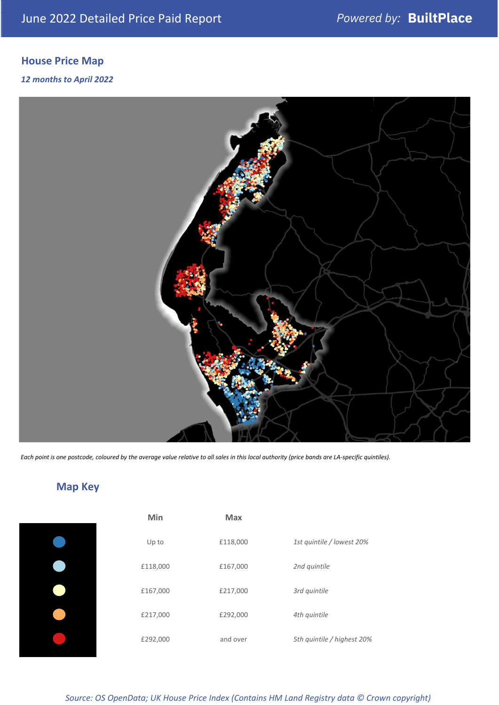## **House Price Map**

### *12 months to April 2022*



*Each point is one postcode, coloured by the average value relative to all sales in this local authority (price bands are LA-specific quintiles).*

## **Map Key**

| <b>Min</b> | <b>Max</b> |                            |
|------------|------------|----------------------------|
| Up to      | £118,000   | 1st quintile / lowest 20%  |
| £118,000   | £167,000   | 2nd quintile               |
| £167,000   | £217,000   | 3rd quintile               |
| £217,000   | £292,000   | 4th quintile               |
| £292,000   | and over   | 5th quintile / highest 20% |

*Source: OS OpenData; UK House Price Index (Contains HM Land Registry data © Crown copyright)*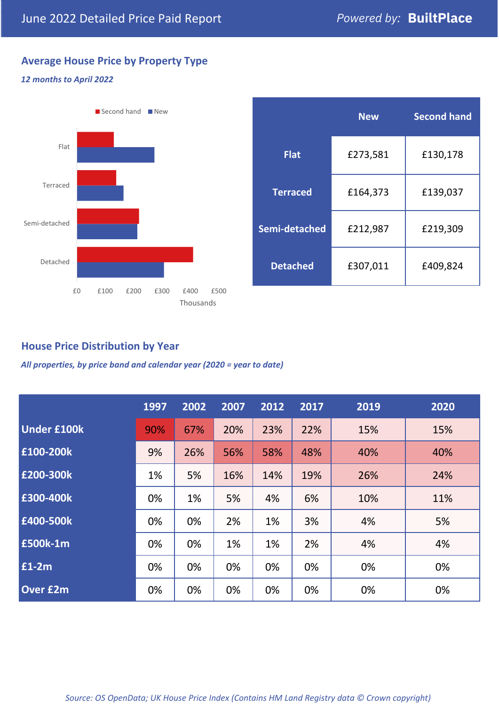## **Average House Price by Property Type**

### *12 months to April 2022*



|                 | <b>New</b> | <b>Second hand</b> |  |  |
|-----------------|------------|--------------------|--|--|
| <b>Flat</b>     | £273,581   | £130,178           |  |  |
| <b>Terraced</b> | £164,373   | £139,037           |  |  |
| Semi-detached   | £212,987   | £219,309           |  |  |
| <b>Detached</b> | £307,011   | £409,824           |  |  |

## **House Price Distribution by Year**

*All properties, by price band and calendar year (2020 = year to date)*

|                    | 1997 | 2002 | 2007 | 2012 | 2017 | 2019 | 2020 |
|--------------------|------|------|------|------|------|------|------|
| <b>Under £100k</b> | 90%  | 67%  | 20%  | 23%  | 22%  | 15%  | 15%  |
| £100-200k          | 9%   | 26%  | 56%  | 58%  | 48%  | 40%  | 40%  |
| E200-300k          | 1%   | 5%   | 16%  | 14%  | 19%  | 26%  | 24%  |
| £300-400k          | 0%   | 1%   | 5%   | 4%   | 6%   | 10%  | 11%  |
| £400-500k          | 0%   | 0%   | 2%   | 1%   | 3%   | 4%   | 5%   |
| <b>£500k-1m</b>    | 0%   | 0%   | 1%   | 1%   | 2%   | 4%   | 4%   |
| £1-2m              | 0%   | 0%   | 0%   | 0%   | 0%   | 0%   | 0%   |
| <b>Over £2m</b>    | 0%   | 0%   | 0%   | 0%   | 0%   | 0%   | 0%   |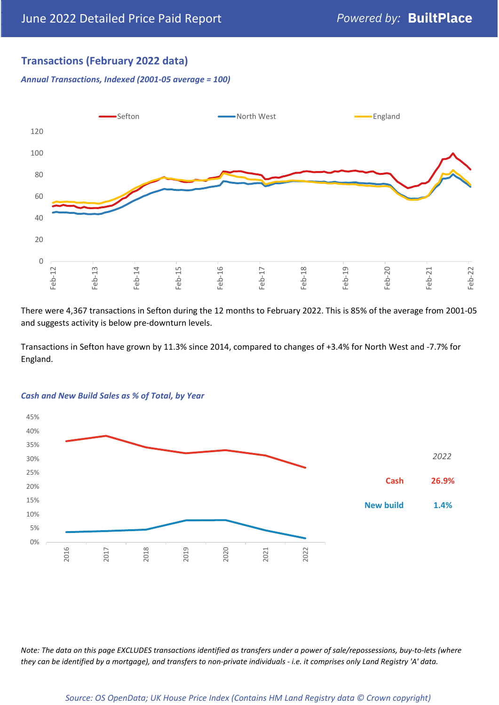## **Transactions (February 2022 data)**

*Annual Transactions, Indexed (2001-05 average = 100)*



There were 4,367 transactions in Sefton during the 12 months to February 2022. This is 85% of the average from 2001-05 and suggests activity is below pre-downturn levels.

Transactions in Sefton have grown by 11.3% since 2014, compared to changes of +3.4% for North West and -7.7% for England.



#### *Cash and New Build Sales as % of Total, by Year*

*Note: The data on this page EXCLUDES transactions identified as transfers under a power of sale/repossessions, buy-to-lets (where they can be identified by a mortgage), and transfers to non-private individuals - i.e. it comprises only Land Registry 'A' data.*